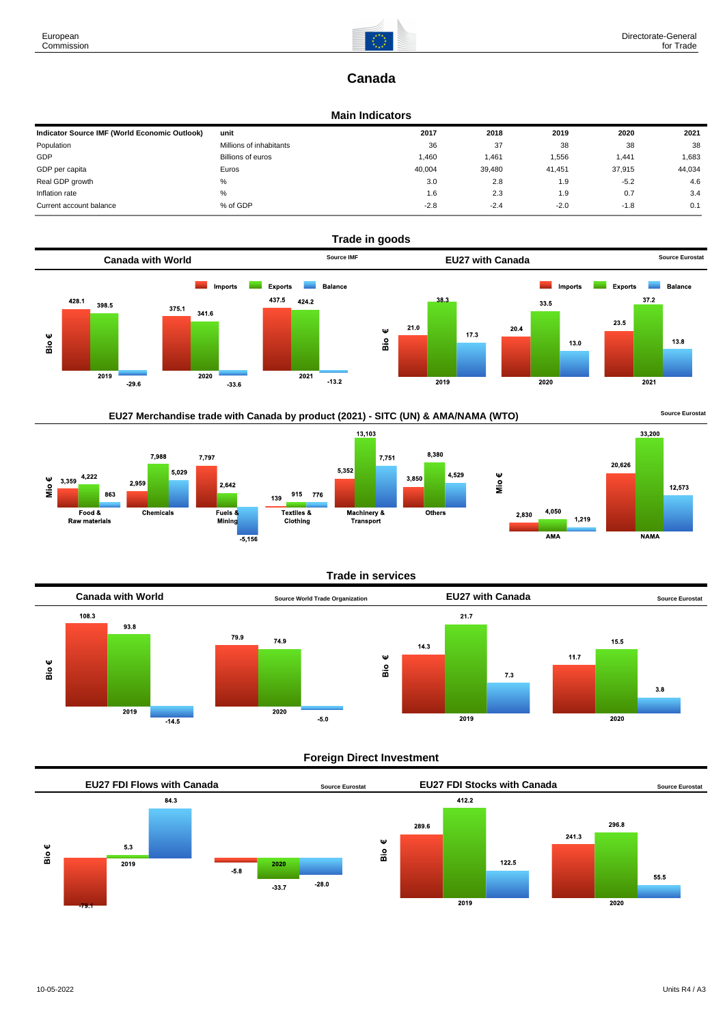

# **Canada**

#### **Main Indicators**

| Indicator Source IMF (World Economic Outlook) | unit                    | 2017   | 2018   | 2019   | 2020   | 2021   |
|-----------------------------------------------|-------------------------|--------|--------|--------|--------|--------|
| Population                                    | Millions of inhabitants | 36     | 37     | 38     | 38     | 38     |
| GDP                                           | Billions of euros       | 1.460  | 1,461  | 1,556  | 1.441  | 1,683  |
| GDP per capita                                | Euros                   | 40.004 | 39,480 | 41.451 | 37.915 | 44,034 |
| Real GDP growth                               | %                       | 3.0    | 2.8    | 1.9    | $-5.2$ | 4.6    |
| Inflation rate                                | %                       | 1.6    | 2.3    | 1.9    | 0.7    | 3.4    |
| Current account balance                       | % of GDP                | $-2.8$ | $-2.4$ | $-2.0$ | $-1.8$ | 0.1    |









**NAMA** 

 $AMA$ 

#### **Trade in services**



### **Foreign Direct Investment**